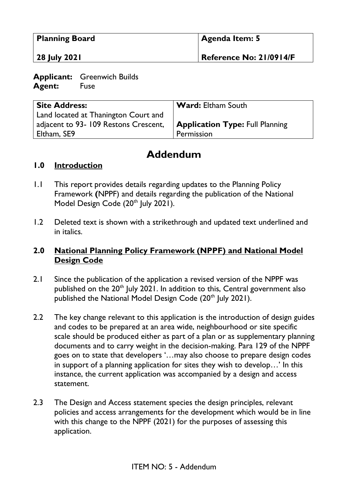| <b>Planning Board</b> | Agenda Item: 5          |
|-----------------------|-------------------------|
| <b>28 July 2021</b>   | Reference No: 21/0914/F |

**Applicant:** Greenwich Builds **Agent:** Fuse

| <b>Site Address:</b>                 | <b>Ward: Eltham South</b>              |
|--------------------------------------|----------------------------------------|
| Land located at Thanington Court and |                                        |
| adjacent to 93-109 Restons Crescent, | <b>Application Type: Full Planning</b> |
| Eltham, SE9                          | Permission                             |

## **Addendum**

## **1.0 Introduction**

- 1.1 This report provides details regarding updates to the Planning Policy Framework **(**NPPF) and details regarding the publication of the National Model Design Code (20<sup>th</sup> July 2021).
- 1.2 Deleted text is shown with a strikethrough and updated text underlined and in italics.

## **2.0 National Planning Policy Framework (NPPF) and National Model Design Code**

- 2.1 Since the publication of the application a revised version of the NPPF was published on the 20<sup>th</sup> July 2021. In addition to this, Central government also published the National Model Design Code (20<sup>th</sup> July 2021).
- 2.2 The key change relevant to this application is the introduction of design guides and codes to be prepared at an area wide, neighbourhood or site specific scale should be produced either as part of a plan or as supplementary planning documents and to carry weight in the decision-making. Para 129 of the NPPF goes on to state that developers '…may also choose to prepare design codes in support of a planning application for sites they wish to develop…' In this instance, the current application was accompanied by a design and access statement.
- 2.3 The Design and Access statement species the design principles, relevant policies and access arrangements for the development which would be in line with this change to the NPPF (2021) for the purposes of assessing this application.